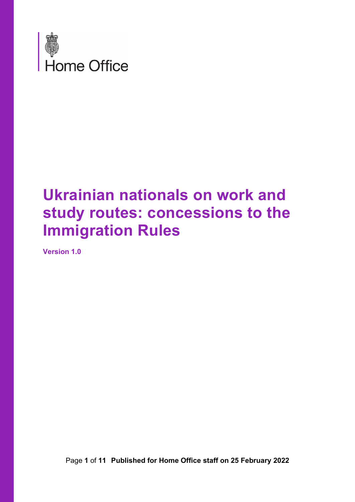

## **Ukrainian nationals on work and study routes: concessions to the Immigration Rules**

<span id="page-0-0"></span>**Version 1.0**

Page **1** of **11 Published for Home Office staff on 25 February 2022**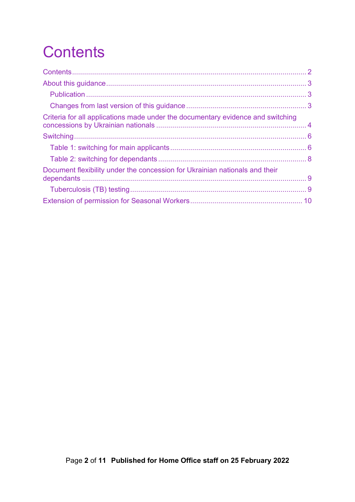<span id="page-1-0"></span>

| Criteria for all applications made under the documentary evidence and switching |  |
|---------------------------------------------------------------------------------|--|
|                                                                                 |  |
|                                                                                 |  |
|                                                                                 |  |
| Document flexibility under the concession for Ukrainian nationals and their     |  |
|                                                                                 |  |
|                                                                                 |  |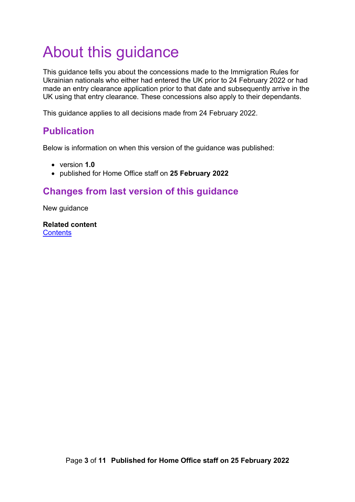## <span id="page-2-0"></span>About this guidance

This guidance tells you about the concessions made to the Immigration Rules for Ukrainian nationals who either had entered the UK prior to 24 February 2022 or had made an entry clearance application prior to that date and subsequently arrive in the UK using that entry clearance. These concessions also apply to their dependants.

This guidance applies to all decisions made from 24 February 2022.

#### <span id="page-2-1"></span>**Publication**

Below is information on when this version of the guidance was published:

- version **1.0**
- published for Home Office staff on **25 February 2022**

#### <span id="page-2-2"></span>**Changes from last version of this guidance**

New guidance

**Related content [Contents](#page-0-0)**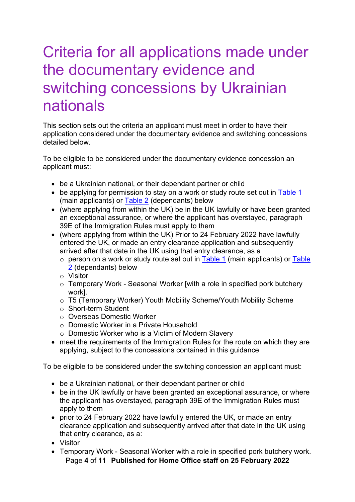### <span id="page-3-0"></span>Criteria for all applications made under the documentary evidence and switching concessions by Ukrainian nationals

This section sets out the criteria an applicant must meet in order to have their application considered under the documentary evidence and switching concessions detailed below.

<span id="page-3-1"></span>To be eligible to be considered under the documentary evidence concession an applicant must:

- be a Ukrainian national, or their dependant partner or child
- be applying for permission to stay on a work or study route set out in [Table 1](#page-5-1) (main applicants) or [Table 2](#page-7-0) (dependants) below
- (where applying from within the UK) be in the UK lawfully or have been granted an exceptional assurance, or where the applicant has overstayed, paragraph 39E of the Immigration Rules must apply to them
- (where applying from within the UK) Prior to 24 February 2022 have lawfully entered the UK, or made an entry clearance application and subsequently arrived after that date in the UK using that entry clearance, as a
	- $\circ$  person on a work or study route set out in [Table 1](#page-5-1) (main applicants) or Table [2](#page-7-0) (dependants) below
	- o Visitor
	- o Temporary Work Seasonal Worker [with a role in specified pork butchery work]*.*
	- o T5 (Temporary Worker) Youth Mobility Scheme/Youth Mobility Scheme
	- o Short-term Student
	- o Overseas Domestic Worker
	- o Domestic Worker in a Private Household
	- o Domestic Worker who is a Victim of Modern Slavery
- meet the requirements of the Immigration Rules for the route on which they are applying, subject to the concessions contained in this guidance

To be eligible to be considered under the switching concession an applicant must:

- be a Ukrainian national, or their dependant partner or child
- be in the UK lawfully or have been granted an exceptional assurance, or where the applicant has overstayed, paragraph 39E of the Immigration Rules must apply to them
- prior to 24 February 2022 have lawfully entered the UK, or made an entry clearance application and subsequently arrived after that date in the UK using that entry clearance, as a:
- Visitor
- Page **4** of **11 Published for Home Office staff on 25 February 2022** • Temporary Work - Seasonal Worker with a role in specified pork butchery work.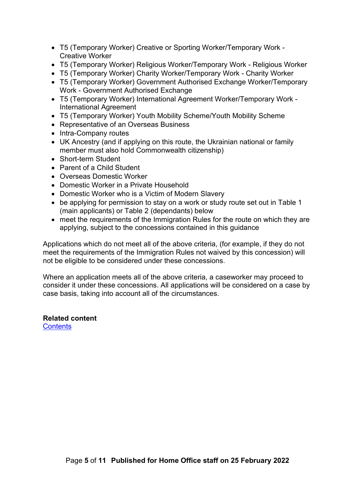- T5 (Temporary Worker) Creative or Sporting Worker/Temporary Work Creative Worker
- T5 (Temporary Worker) Religious Worker/Temporary Work Religious Worker
- T5 (Temporary Worker) Charity Worker/Temporary Work Charity Worker
- T5 (Temporary Worker) Government Authorised Exchange Worker/Temporary Work - Government Authorised Exchange
- T5 (Temporary Worker) International Agreement Worker/Temporary Work International Agreement
- T5 (Temporary Worker) Youth Mobility Scheme/Youth Mobility Scheme
- Representative of an Overseas Business
- Intra-Company routes
- UK Ancestry (and if applying on this route, the Ukrainian national or family member must also hold Commonwealth citizenship)
- Short-term Student
- Parent of a Child Student
- Overseas Domestic Worker
- Domestic Worker in a Private Household
- Domestic Worker who is a Victim of Modern Slavery
- be applying for permission to stay on a work or study route set out in Table 1 (main applicants) or Table 2 (dependants) below
- meet the requirements of the Immigration Rules for the route on which they are applying, subject to the concessions contained in this guidance

Applications which do not meet all of the above criteria, (for example, if they do not meet the requirements of the Immigration Rules not waived by this concession) will not be eligible to be considered under these concessions.

Where an application meets all of the above criteria, a caseworker may proceed to consider it under these concessions. All applications will be considered on a case by case basis, taking into account all of the circumstances.

#### **Related content**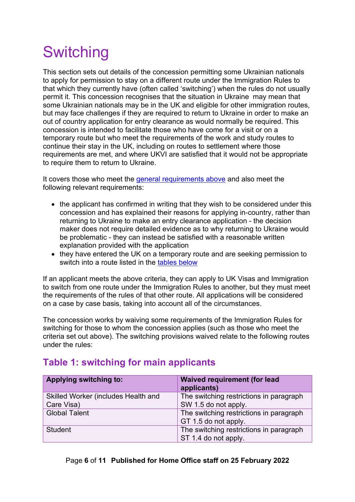# <span id="page-5-0"></span>**Switching**

This section sets out details of the concession permitting some Ukrainian nationals to apply for permission to stay on a different route under the Immigration Rules to that which they currently have (often called 'switching') when the rules do not usually permit it. This concession recognises that the situation in Ukraine may mean that some Ukrainian nationals may be in the UK and eligible for other immigration routes, but may face challenges if they are required to return to Ukraine in order to make an out of country application for entry clearance as would normally be required. This concession is intended to facilitate those who have come for a visit or on a temporary route but who meet the requirements of the work and study routes to continue their stay in the UK, including on routes to settlement where those requirements are met, and where UKVI are satisfied that it would not be appropriate to require them to return to Ukraine.

It covers those who meet the [general requirements above](#page-3-1) and also meet the following relevant requirements:

- the applicant has confirmed in writing that they wish to be considered under this concession and has explained their reasons for applying in-country, rather than returning to Ukraine to make an entry clearance application - the decision maker does not require detailed evidence as to why returning to Ukraine would be problematic - they can instead be satisfied with a reasonable written explanation provided with the application
- they have entered the UK on a temporary route and are seeking permission to switch into a route listed in the [tables below](#page-5-1)

If an applicant meets the above criteria, they can apply to UK Visas and Immigration to switch from one route under the Immigration Rules to another, but they must meet the requirements of the rules of that other route. All applications will be considered on a case by case basis, taking into account all of the circumstances.

The concession works by waiving some requirements of the Immigration Rules for switching for those to whom the concession applies (such as those who meet the criteria set out above). The switching provisions waived relate to the following routes under the rules:

#### <span id="page-5-1"></span>**Table 1: switching for main applicants**

| <b>Applying switching to:</b>       | <b>Waived requirement (for lead</b><br>applicants)              |
|-------------------------------------|-----------------------------------------------------------------|
| Skilled Worker (includes Health and | The switching restrictions in paragraph                         |
| Care Visa)                          | SW 1.5 do not apply.                                            |
| <b>Global Talent</b>                | The switching restrictions in paragraph<br>GT 1.5 do not apply. |
| <b>Student</b>                      | The switching restrictions in paragraph<br>ST 1.4 do not apply. |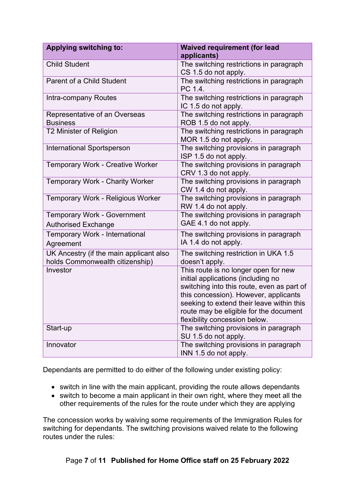| <b>Applying switching to:</b>                                              | <b>Waived requirement (for lead</b>                                                                                                                                                                                                                                                       |
|----------------------------------------------------------------------------|-------------------------------------------------------------------------------------------------------------------------------------------------------------------------------------------------------------------------------------------------------------------------------------------|
|                                                                            | applicants)                                                                                                                                                                                                                                                                               |
| <b>Child Student</b>                                                       | The switching restrictions in paragraph<br>CS 1.5 do not apply.                                                                                                                                                                                                                           |
| <b>Parent of a Child Student</b>                                           | The switching restrictions in paragraph<br>PC 1.4.                                                                                                                                                                                                                                        |
| Intra-company Routes                                                       | The switching restrictions in paragraph<br>IC 1.5 do not apply.                                                                                                                                                                                                                           |
| Representative of an Overseas<br><b>Business</b>                           | The switching restrictions in paragraph<br>ROB 1.5 do not apply.                                                                                                                                                                                                                          |
| T2 Minister of Religion                                                    | The switching restrictions in paragraph<br>MOR 1.5 do not apply.                                                                                                                                                                                                                          |
| <b>International Sportsperson</b>                                          | The switching provisions in paragraph<br>ISP 1.5 do not apply.                                                                                                                                                                                                                            |
| <b>Temporary Work - Creative Worker</b>                                    | The switching provisions in paragraph<br>CRV 1.3 do not apply.                                                                                                                                                                                                                            |
| <b>Temporary Work - Charity Worker</b>                                     | The switching provisions in paragraph<br>CW 1.4 do not apply.                                                                                                                                                                                                                             |
| Temporary Work - Religious Worker                                          | The switching provisions in paragraph<br>RW 1.4 do not apply.                                                                                                                                                                                                                             |
| <b>Temporary Work - Government</b>                                         | The switching provisions in paragraph                                                                                                                                                                                                                                                     |
| <b>Authorised Exchange</b>                                                 | GAE 4.1 do not apply.                                                                                                                                                                                                                                                                     |
| <b>Temporary Work - International</b>                                      | The switching provisions in paragraph                                                                                                                                                                                                                                                     |
| Agreement                                                                  | IA 1.4 do not apply.                                                                                                                                                                                                                                                                      |
| UK Ancestry (if the main applicant also<br>holds Commonwealth citizenship) | The switching restriction in UKA 1.5<br>doesn't apply.                                                                                                                                                                                                                                    |
| Investor                                                                   | This route is no longer open for new<br>initial applications (including no<br>switching into this route, even as part of<br>this concession). However, applicants<br>seeking to extend their leave within this<br>route may be eligible for the document<br>flexibility concession below. |
| Start-up                                                                   | The switching provisions in paragraph<br>SU 1.5 do not apply.                                                                                                                                                                                                                             |
| Innovator                                                                  | The switching provisions in paragraph<br>INN 1.5 do not apply.                                                                                                                                                                                                                            |

Dependants are permitted to do either of the following under existing policy:

- switch in line with the main applicant, providing the route allows dependants
- switch to become a main applicant in their own right, where they meet all the other requirements of the rules for the route under which they are applying

The concession works by waiving some requirements of the Immigration Rules for switching for dependants. The switching provisions waived relate to the following routes under the rules:

Page **7** of **11 Published for Home Office staff on 25 February 2022**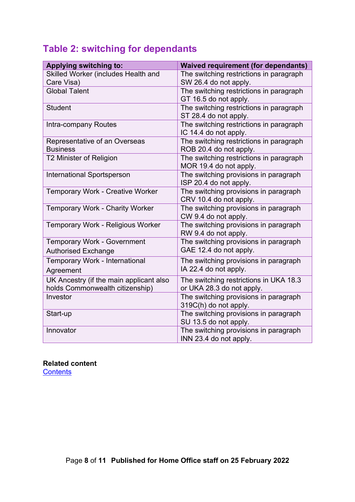### <span id="page-7-0"></span>**Table 2: switching for dependants**

| <b>Applying switching to:</b>                    | <b>Waived requirement (for dependants)</b>                        |
|--------------------------------------------------|-------------------------------------------------------------------|
| Skilled Worker (includes Health and              | The switching restrictions in paragraph                           |
| Care Visa)                                       | SW 26.4 do not apply.                                             |
| <b>Global Talent</b>                             | The switching restrictions in paragraph<br>GT 16.5 do not apply.  |
| <b>Student</b>                                   | The switching restrictions in paragraph<br>ST 28.4 do not apply.  |
| Intra-company Routes                             | The switching restrictions in paragraph<br>IC 14.4 do not apply.  |
| Representative of an Overseas<br><b>Business</b> | The switching restrictions in paragraph<br>ROB 20.4 do not apply. |
| T2 Minister of Religion                          | The switching restrictions in paragraph<br>MOR 19.4 do not apply. |
| <b>International Sportsperson</b>                | The switching provisions in paragraph<br>ISP 20.4 do not apply.   |
| <b>Temporary Work - Creative Worker</b>          | The switching provisions in paragraph<br>CRV 10.4 do not apply.   |
| <b>Temporary Work - Charity Worker</b>           | The switching provisions in paragraph<br>CW 9.4 do not apply.     |
| Temporary Work - Religious Worker                | The switching provisions in paragraph<br>RW 9.4 do not apply.     |
| <b>Temporary Work - Government</b>               | The switching provisions in paragraph                             |
| <b>Authorised Exchange</b>                       | GAE 12.4 do not apply.                                            |
| Temporary Work - International<br>Agreement      | The switching provisions in paragraph<br>IA 22.4 do not apply.    |
| UK Ancestry (if the main applicant also          | The switching restrictions in UKA 18.3                            |
| holds Commonwealth citizenship)                  | or UKA 28.3 do not apply.                                         |
| Investor                                         | The switching provisions in paragraph<br>319C(h) do not apply.    |
| Start-up                                         | The switching provisions in paragraph<br>SU 13.5 do not apply.    |
| Innovator                                        | The switching provisions in paragraph<br>INN 23.4 do not apply.   |

#### **Related content**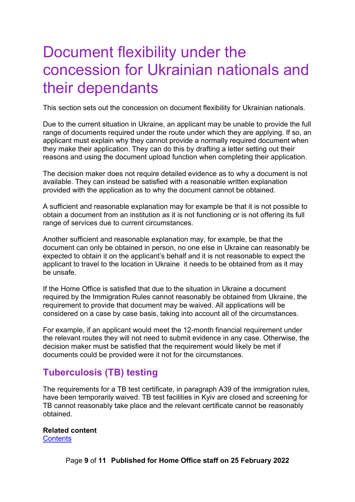### <span id="page-8-0"></span>Document flexibility under the concession for Ukrainian nationals and their dependants

This section sets out the concession on document flexibility for Ukrainian nationals.

Due to the current situation in Ukraine, an applicant may be unable to provide the full range of documents required under the route under which they are applying. If so, an applicant must explain why they cannot provide a normally required document when they make their application. They can do this by drafting a letter setting out their reasons and using the document upload function when completing their application.

The decision maker does not require detailed evidence as to why a document is not available. They can instead be satisfied with a reasonable written explanation provided with the application as to why the document cannot be obtained.

A sufficient and reasonable explanation may for example be that it is not possible to obtain a document from an institution as it is not functioning or is not offering its full range of services due to current circumstances.

Another sufficient and reasonable explanation may, for example, be that the document can only be obtained in person, no one else in Ukraine can reasonably be expected to obtain it on the applicant's behalf and it is not reasonable to expect the applicant to travel to the location in Ukraine it needs to be obtained from as it may be unsafe.

If the Home Office is satisfied that due to the situation in Ukraine a document required by the Immigration Rules cannot reasonably be obtained from Ukraine, the requirement to provide that document may be waived. All applications will be considered on a case by case basis, taking into account all of the circumstances.

For example, if an applicant would meet the 12-month financial requirement under the relevant routes they will not need to submit evidence in any case. Otherwise, the decision maker must be satisfied that the requirement would likely be met if documents could be provided were it not for the circumstances.

#### <span id="page-8-1"></span>**Tuberculosis (TB) testing**

The requirements for a TB test certificate, in paragraph A39 of the immigration rules, have been temporarily waived. TB test facilities in Kyiv are closed and screening for TB cannot reasonably take place and the relevant certificate cannot be reasonably obtained.

#### **Related content**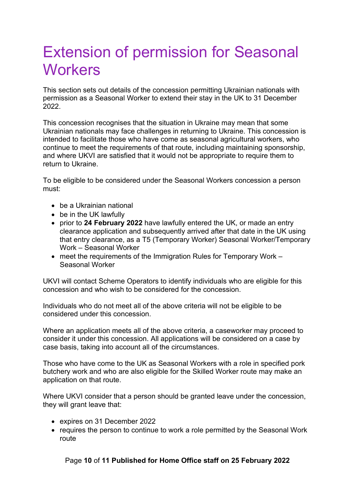### <span id="page-9-0"></span>Extension of permission for Seasonal **Workers**

This section sets out details of the concession permitting Ukrainian nationals with permission as a Seasonal Worker to extend their stay in the UK to 31 December 2022.

This concession recognises that the situation in Ukraine may mean that some Ukrainian nationals may face challenges in returning to Ukraine. This concession is intended to facilitate those who have come as seasonal agricultural workers, who continue to meet the requirements of that route, including maintaining sponsorship, and where UKVI are satisfied that it would not be appropriate to require them to return to Ukraine.

To be eligible to be considered under the Seasonal Workers concession a person must:

- be a Ukrainian national
- be in the UK lawfully
- prior to **24 February 2022** have lawfully entered the UK, or made an entry clearance application and subsequently arrived after that date in the UK using that entry clearance, as a T5 (Temporary Worker) Seasonal Worker/Temporary Work – Seasonal Worker
- meet the requirements of the Immigration Rules for Temporary Work Seasonal Worker

UKVI will contact Scheme Operators to identify individuals who are eligible for this concession and who wish to be considered for the concession.

Individuals who do not meet all of the above criteria will not be eligible to be considered under this concession.

Where an application meets all of the above criteria, a caseworker may proceed to consider it under this concession. All applications will be considered on a case by case basis, taking into account all of the circumstances.

Those who have come to the UK as Seasonal Workers with a role in specified pork butchery work and who are also eligible for the Skilled Worker route may make an application on that route.

Where UKVI consider that a person should be granted leave under the concession, they will grant leave that:

- expires on 31 December 2022
- requires the person to continue to work a role permitted by the Seasonal Work route

Page **10** of **11 Published for Home Office staff on 25 February 2022**